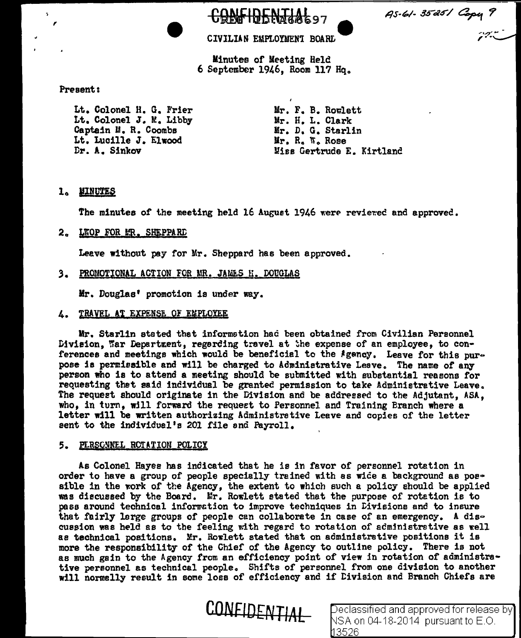

CIVILIAN EMPLOYMENT BOARD

CRLFIDENTIAL97

Minutes of Meeting Held  $6$  September 1946. Room 117 Hq.

# Present:

,

 $\sim$ 

Lt. Colonel H. G. Frier Lt. Colonel J. w.. Libby Captain M. R. Coombs Lt. Lucille J. Elwood Dr. A. Sinkov

Mr. F. B. Rowlett Mr. H. L. Clark Mr. D. G. Starlin Mr. R. W. Rose Miss Gertrude E. Kirtlanc

# 1. MINUTES

The minutes of the meeting held 16 August 1946 were reviewed and approved.

2. LKOP FOR MR. SHEPPARD

Leave without pay for Mr, Sheppard has been approved.

3. PROMOTIONAL ACTION FOR MR. JAMES H. DOUGLAS

Mr. Douglas' promotion is under way.

**4. TRAVEL AT EXPENSE OF EMPLOYEE** 

Mr. Starlin stated thet information had been obtained from Civilian Personnel Division, War Department, regerding travel at the expense of an employee, to conferences and meetings which would be beneficial to the Agency. Leave for this purpose is permissible and will be charged to Administrative Leave. The name of any person who is to attend a meeting should be submitted with substantial reasons for requesting thet said individual be granted permission to take Administrative Leave. The requeet should originate in the Division and be addressed to the Adjutant, ASA, who, in turn, will forward the request to Personnel and Training Branch where a letter will be written authorizing Administrative Leave and copies of the letter sent to the individuel's 201 file and Payroll.

# 5. PLRSONNEL ROTATION POLICY

As Colonel Hayes has indicated that he is in favor of personnel rotation in order to have a group of people specially trained with as wide a background as possible in the work of the Agency, the extent to which such a policy should be applied was discussed by the Board. Mr. Rowlett stated that the purpose of rotation is to pass around technical information to improve techniques in Divisions and to insure that fairly large groups of people can collaborate in case of an emergency. A dis-CUS\$ion was held as to the feeling with regard to rotation of administretive as well as technical positions. Mr. Rowlett stated that on administrative positions it is more the responsibility of the Chief of the Agency to outline policy. There is not as much gain to the Agency from an efficiency point of view in rotation of administrative personnel as technical people. Shifts of personnel from one division to another will normally result in some loss of efficiency and if Division and Branch Chiefs are



CONFIDENTIAL Declassified and approved for release by NSA on 04-18-2014 pursuant to E.O. 13526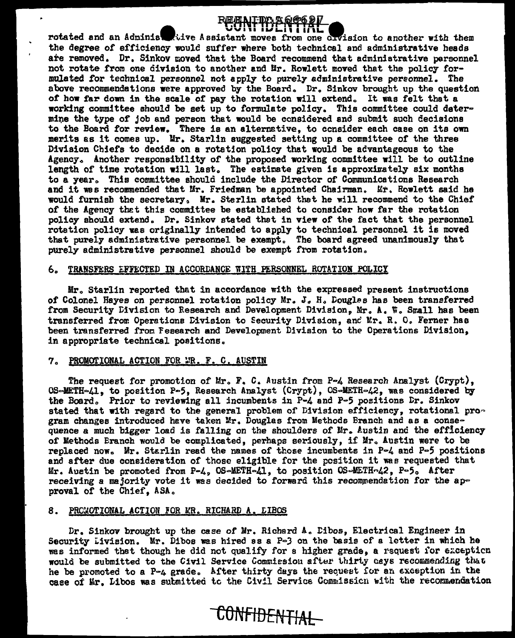

rotated and an Administrative Assistant moves from one civision to another with them the degree of efficiency would suffer where both technical and administrative heads are removed. Dr. Sinkov moved that the Board recommend that administrative personnel not rotate from one division to another and Mr. Rowlett moved that the policy formulated for technical personnel not apply to purely administrative personnel. The above recommendations were approved by the Board. Dr. Sinkov brought up the question of how far down in the scale of pay the rotation will extend. It was felt that a working committee should be set up to formulate policy. This committee could determine the type of job and person that would be considered and submit such decisions to the Board for review. There is an alternative, to consider each case on its own merits as it comes up. Mr. Starlin suggested setting up a committee of the three Division Chiefs to decide on a rotation policy that would be advantageous to the Agency. Another responsibility of the proposed working committee will be to outline length of time rotation will last. The estimate given is approximately six months to a year. This committee should include the Director of Communications Research and it was recommended that Mr. Friedman be appointed Chairman. Mr. Rowlett said he would furnish the secretary, Mr. Sterlin stated that he will recommend to the Chief of the Agency that this committee be established to consider how far the rotation policy should extend. Dr. Sinkov stated that in view of the fact that the personnel rotation policy was originally intended to apply to technical personnel it is moved that purely administrative personnel be exempt. The board agreed unanimously that purely administrative personnel should be exempt from rotation.

#### 6. TRANSFERS EFFECTED IN ACCORDANCE WITH PERSONNEL ROTATION POLICY

Mr. Starlin reported that in accordance with the expressed present instructions of Colonel Hayes on personnel rotation policy Mr. J. H. Douglas has been transferred from Security Division to Research and Development Division, Mr. A. W. Small has been transferred from Operations Division to Security Division, and Mr. R. O. Ferner has been transferred from Fesearch and Development Division to the Operations Division. in appropriate technical positions.

# 7. PROMOTIONAL ACTION FOR MR. F. C. AUSTIN

The request for promotion of Mr. F. C. Austin from P-4 Research Analyst (Crypt). OS-METH-41, to position P-5, Research Analyst (Crypt), OS-METH-42, was considered by the Board. Prior to reviewing all incumbents in  $P-A$  and  $P-5$  positions Dr. Sinkov stated that with regard to the general problem of Division efficiency, rotational program changes introduced have taken Mr. Douglas from Methods Branch and as a consequence a much bigger load is falling on the shoulders of Mr. Austin and the efficiency of Methods Branch would be complicated, perhaps seriously, if Mr. Austin were to be replaced now. Mr. Starlin read the names of those incumbents in P-4 and P-5 positions and after due consideration of those eligible for the position it was requested that Mr. Austin be promoted from P-4, OS-METH-41, to position OS-METH-42, P-5. After receiving a majority vote it was decided to forward this recommendation for the approval of the Chief, ASA.

#### 8. PROMOTIONAL ACTION FOR MR. RICHARD A. LIBOS

Dr. Sinkov brought up the case of Mr. Richard A. Dibos, Electrical Engineer in Security Livision. Mr. Dibos was hired as a P-3 on the basis of a letter in which he was informed that though he did not qualify for a higher grade, a request for exception would be submitted to the Civil Service Commission after thirty cays recommending that he be promoted to a P-4 grade. After thirty days the request for an exception in the case of Mr. Libos was submitted to the Civil Service Commission with the recommendation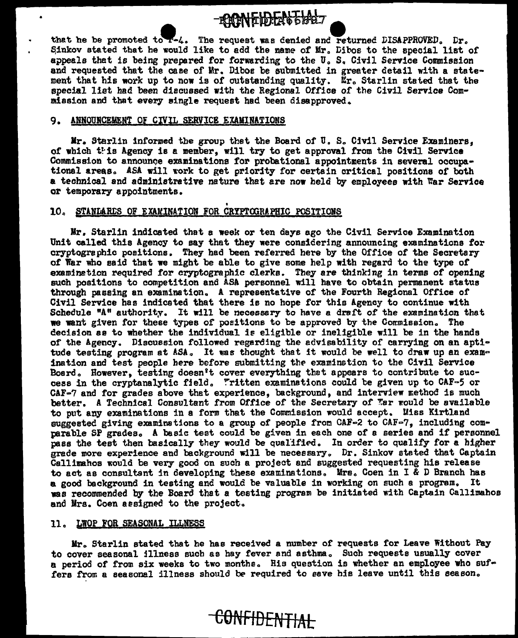-**EONFIDEATED:**<br>that he be promoted to  $\epsilon$ -4. The request was denied and returned DISAPPROVED. Dr. Sinkov stated that he would like to add the name of Mr. Dibos to the special list of appeals that is being prepared for forwarding to the U.S. Civil Service Commission and requested that the case of Mr. Diboe be submitted in greater detail with a statement that his work up to now is of outstanding quality.  $\tilde{k}_r$ , Starlin stated that the special list had been discussed with the Regional Office of the Civil Service Commission and that every single request had been disapproved.

#### 9. ANNOUNCEMENT OF CIVIL SERVICE EXAMINATIONS

 $Mr.$  Starlin informed the group thet the Board of U. S. Civil Service Examiners, of which this Agency is a member, will try to get approval from the Civil Service Commission to announce examinations for probational appointments in several occupational areas. ASA will work to get priority for certain critical positions of both a technical and administrative nature that are now held by employees with War Service or temporary appointments.

# 10. STANLARLS OF EXAMINATION FOR CRYPTOGRAPHIC POSITIONS

Mr. Starlin indicated that a week or ten days ago the Civil Service Examination Unit called this Agency to say that they were considering announcing examinations for cryptographic positions. They had been referred here by the Office of the Secretary or War who said that we might be able to give some help with regard to the type or examination required for cryptographic clerks. They are thinking in terms of opening such positions to competition and ASA personnel will have to obtain permanent status through passing an examination. A representative of the Fourth Regional Office of Civil Service has indicated that there is no hope for this Agency to continue with Schedule "A" authority. It will be necesssry to have a draft of the examination thet we want given for these types of positions to be approved by the Cormission. The decision ee to whether the individual ie eligible or ineligible will be in the hands of the Agency. Discussion followed regarding the advisability of carrying on an aptitude testing program at ASA. It was thought that it would be well to draw up an examination and test people here before submitting the examination to the Civil Service Board. However, testing doesn't cover everything thet appears to contribute to success in the cryptanalytic field. "ritten examinations could be given up to  $CAF-5$  or CAF-? and for grades above that experience, background, and interview method is much better. A Technical Consultant from Office of the Secretary of Tar would be available to put any examinations in a form that the Commission would accept. Uiss Kirtland suggested giving examinations to a group of people from  $CAF=2$  to  $CAF=7$ , including comparable SP grades. A basic test could be given in each one of a series and if personnel pass the test then basically they would be qualified. In order to qualify for a higher grade more experience and background will be necessary. Dr. Sinkov stated that Captain Callimahos would be very good on such a project and suggested requesting his release to act as consultant in developing these examinations. Mrs. Coen in I & D Branch has a good background in testing and would be valuable in working on such a program. It was recommended by the Board that a testing program be initiated with Captain Callimahos and Mrs. Coen assigned to the project.

### 11. LWOP FOR SEASONAL ILLNESS

Mr. Starlin stated that he has received a number of requests for Leave Without Pay to cover seasonal illness such as hay fever and asthma. Such requests usually cover a period of from six weeks to two monthe. His question is whether an employee who suffers from a seasonal illness should be required to save his leave until this season.

CONFIDENTIAL